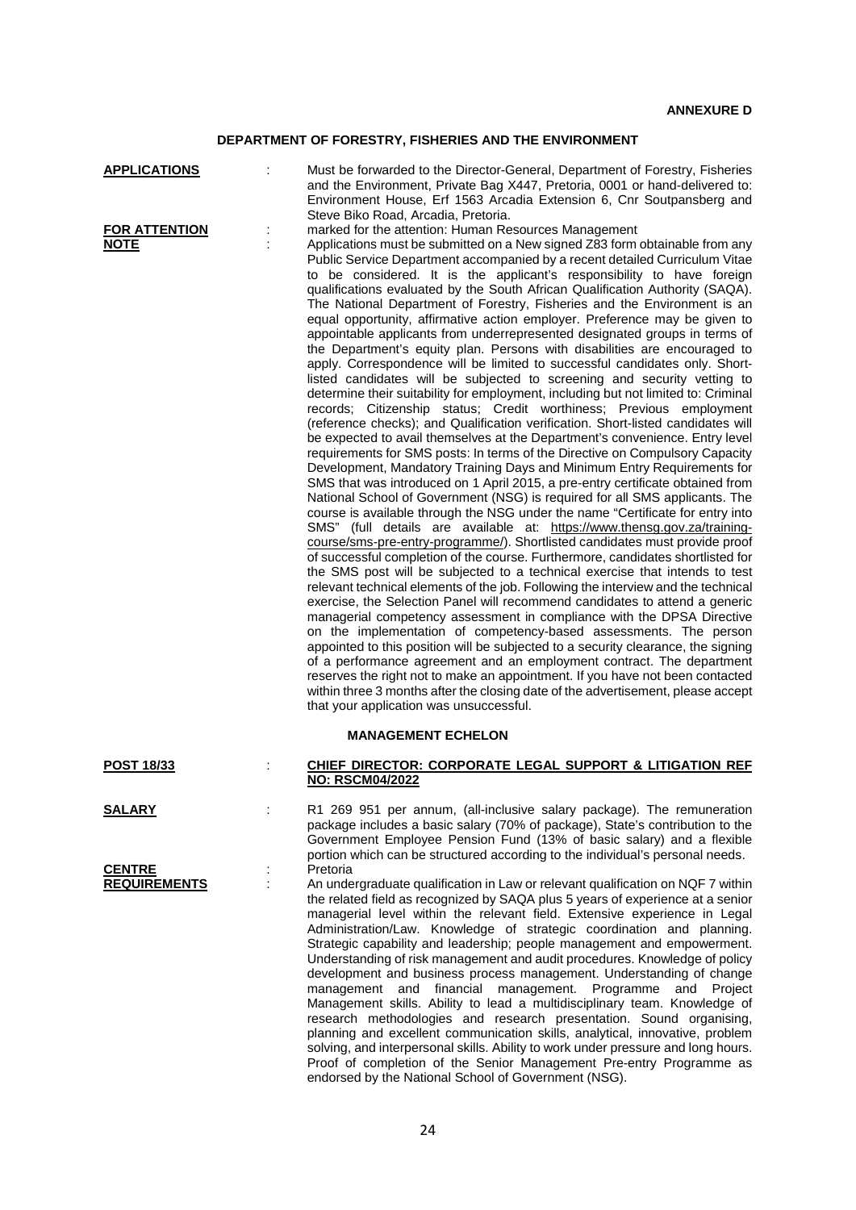## **DEPARTMENT OF FORESTRY, FISHERIES AND THE ENVIRONMENT**

|--|

| <b>FOR ATTENTION</b> |  |
|----------------------|--|
| <b>NOTE</b>          |  |

**APPLICATIONS** : Must be forwarded to the Director-General, Department of Forestry, Fisheries and the Environment, Private Bag X447, Pretoria, 0001 or hand-delivered to: Environment House, Erf 1563 Arcadia Extension 6, Cnr Soutpansberg and Steve Biko Road, Arcadia, Pretoria. **FOR ATTENTION** : marked for the attention: Human Resources Management : Applications must be submitted on a New signed Z83 form obtainable from any Public Service Department accompanied by a recent detailed Curriculum Vitae to be considered. It is the applicant's responsibility to have foreign qualifications evaluated by the South African Qualification Authority (SAQA). The National Department of Forestry, Fisheries and the Environment is an equal opportunity, affirmative action employer. Preference may be given to appointable applicants from underrepresented designated groups in terms of the Department's equity plan. Persons with disabilities are encouraged to

apply. Correspondence will be limited to successful candidates only. Shortlisted candidates will be subjected to screening and security vetting to determine their suitability for employment, including but not limited to: Criminal records; Citizenship status; Credit worthiness; Previous employment (reference checks); and Qualification verification. Short-listed candidates will be expected to avail themselves at the Department's convenience. Entry level requirements for SMS posts: In terms of the Directive on Compulsory Capacity Development, Mandatory Training Days and Minimum Entry Requirements for SMS that was introduced on 1 April 2015, a pre-entry certificate obtained from National School of Government (NSG) is required for all SMS applicants. The course is available through the NSG under the name "Certificate for entry into SMS" (full details are available at: [https://www.thensg.gov.za/training](https://www.thensg.gov.za/training-course/sms-pre-entry-programme/)[course/sms-pre-entry-programme/\)](https://www.thensg.gov.za/training-course/sms-pre-entry-programme/). Shortlisted candidates must provide proof of successful completion of the course. Furthermore, candidates shortlisted for the SMS post will be subjected to a technical exercise that intends to test relevant technical elements of the job. Following the interview and the technical exercise, the Selection Panel will recommend candidates to attend a generic managerial competency assessment in compliance with the DPSA Directive on the implementation of competency-based assessments. The person appointed to this position will be subjected to a security clearance, the signing of a performance agreement and an employment contract. The department reserves the right not to make an appointment. If you have not been contacted within three 3 months after the closing date of the advertisement, please accept that your application was unsuccessful.

## **MANAGEMENT ECHELON POST 18/33** : **CHIEF DIRECTOR: CORPORATE LEGAL SUPPORT & LITIGATION REF**

| <b>SALARY</b>                        |  |
|--------------------------------------|--|
| <b>CENTRE</b><br><b>REQUIREMENTS</b> |  |
|                                      |  |

| <b>NO: RSCM04/2022</b> |                                                                       |  |
|------------------------|-----------------------------------------------------------------------|--|
|                        | R1 269 951 per annum (all-inclusive salary package). The remuneration |  |

R1 269 951 per annum, (all-inclusive salary package). The remuneration package includes a basic salary (70% of package), State's contribution to the Government Employee Pension Fund (13% of basic salary) and a flexible portion which can be structured according to the individual's personal needs. Pretoria

An undergraduate qualification in Law or relevant qualification on NQF 7 within the related field as recognized by SAQA plus 5 years of experience at a senior managerial level within the relevant field. Extensive experience in Legal Administration/Law. Knowledge of strategic coordination and planning. Strategic capability and leadership; people management and empowerment. Understanding of risk management and audit procedures. Knowledge of policy development and business process management. Understanding of change management and financial management. Programme and Project Management skills. Ability to lead a multidisciplinary team. Knowledge of research methodologies and research presentation. Sound organising, planning and excellent communication skills, analytical, innovative, problem solving, and interpersonal skills. Ability to work under pressure and long hours. Proof of completion of the Senior Management Pre-entry Programme as endorsed by the National School of Government (NSG).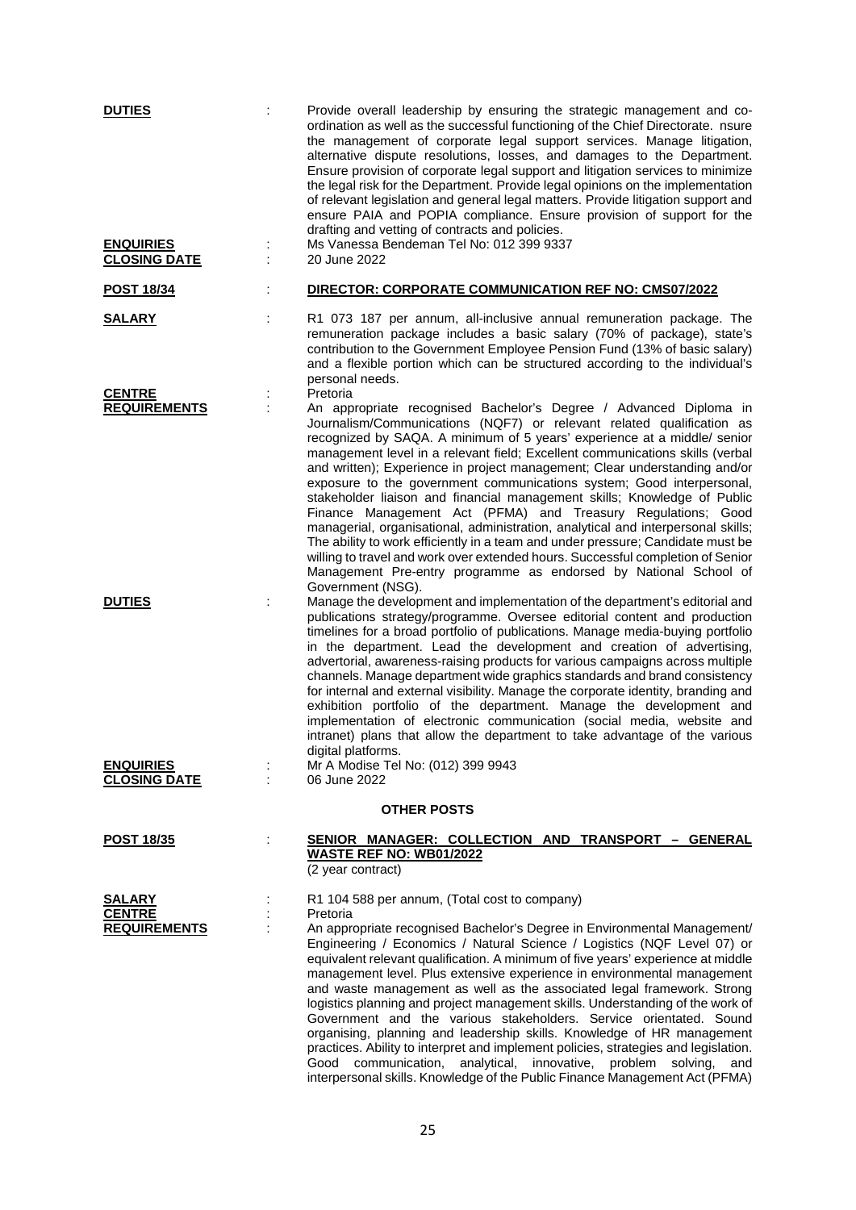| <b>DUTIES</b><br><b>ENQUIRIES</b><br><b>CLOSING DATE</b> | ÷  | Provide overall leadership by ensuring the strategic management and co-<br>ordination as well as the successful functioning of the Chief Directorate. nsure<br>the management of corporate legal support services. Manage litigation,<br>alternative dispute resolutions, losses, and damages to the Department.<br>Ensure provision of corporate legal support and litigation services to minimize<br>the legal risk for the Department. Provide legal opinions on the implementation<br>of relevant legislation and general legal matters. Provide litigation support and<br>ensure PAIA and POPIA compliance. Ensure provision of support for the<br>drafting and vetting of contracts and policies.<br>Ms Vanessa Bendeman Tel No: 012 399 9337<br>20 June 2022                                                                                                                                                                                                       |
|----------------------------------------------------------|----|---------------------------------------------------------------------------------------------------------------------------------------------------------------------------------------------------------------------------------------------------------------------------------------------------------------------------------------------------------------------------------------------------------------------------------------------------------------------------------------------------------------------------------------------------------------------------------------------------------------------------------------------------------------------------------------------------------------------------------------------------------------------------------------------------------------------------------------------------------------------------------------------------------------------------------------------------------------------------|
| <b>POST 18/34</b>                                        |    | DIRECTOR: CORPORATE COMMUNICATION REF NO: CMS07/2022                                                                                                                                                                                                                                                                                                                                                                                                                                                                                                                                                                                                                                                                                                                                                                                                                                                                                                                      |
| <u>SALARY</u>                                            |    | R1 073 187 per annum, all-inclusive annual remuneration package. The<br>remuneration package includes a basic salary (70% of package), state's<br>contribution to the Government Employee Pension Fund (13% of basic salary)<br>and a flexible portion which can be structured according to the individual's<br>personal needs.                                                                                                                                                                                                                                                                                                                                                                                                                                                                                                                                                                                                                                           |
| <b>CENTRE</b><br><b>REQUIREMENTS</b>                     |    | Pretoria<br>An appropriate recognised Bachelor's Degree / Advanced Diploma in<br>Journalism/Communications (NQF7) or relevant related qualification as<br>recognized by SAQA. A minimum of 5 years' experience at a middle/ senior<br>management level in a relevant field; Excellent communications skills (verbal<br>and written); Experience in project management; Clear understanding and/or<br>exposure to the government communications system; Good interpersonal,<br>stakeholder liaison and financial management skills; Knowledge of Public<br>Finance Management Act (PFMA) and Treasury Regulations; Good<br>managerial, organisational, administration, analytical and interpersonal skills;<br>The ability to work efficiently in a team and under pressure; Candidate must be<br>willing to travel and work over extended hours. Successful completion of Senior<br>Management Pre-entry programme as endorsed by National School of<br>Government (NSG). |
| <b>DUTIES</b>                                            |    | Manage the development and implementation of the department's editorial and<br>publications strategy/programme. Oversee editorial content and production<br>timelines for a broad portfolio of publications. Manage media-buying portfolio<br>in the department. Lead the development and creation of advertising,<br>advertorial, awareness-raising products for various campaigns across multiple<br>channels. Manage department wide graphics standards and brand consistency<br>for internal and external visibility. Manage the corporate identity, branding and<br>exhibition portfolio of the department. Manage the development and<br>implementation of electronic communication (social media, website and<br>intranet) plans that allow the department to take advantage of the various<br>digital platforms.                                                                                                                                                  |
| <b>ENQUIRIES</b><br><b>CLOSING DATE</b>                  |    | Mr A Modise Tel No: (012) 399 9943<br>06 June 2022                                                                                                                                                                                                                                                                                                                                                                                                                                                                                                                                                                                                                                                                                                                                                                                                                                                                                                                        |
| <b>OTHER POSTS</b>                                       |    |                                                                                                                                                                                                                                                                                                                                                                                                                                                                                                                                                                                                                                                                                                                                                                                                                                                                                                                                                                           |
| <b>POST 18/35</b>                                        | Ì. | SENIOR MANAGER: COLLECTION AND TRANSPORT - GENERAL<br>WASTE REF NO: WB01/2022<br>(2 year contract)                                                                                                                                                                                                                                                                                                                                                                                                                                                                                                                                                                                                                                                                                                                                                                                                                                                                        |
| <b>SALARY</b><br><b>CENTRE</b><br><b>REQUIREMENTS</b>    |    | R1 104 588 per annum, (Total cost to company)<br>Pretoria<br>An appropriate recognised Bachelor's Degree in Environmental Management/<br>Engineering / Economics / Natural Science / Logistics (NQF Level 07) or<br>equivalent relevant qualification. A minimum of five years' experience at middle<br>management level. Plus extensive experience in environmental management<br>and waste management as well as the associated legal framework. Strong<br>logistics planning and project management skills. Understanding of the work of<br>Government and the various stakeholders. Service orientated. Sound<br>organising, planning and leadership skills. Knowledge of HR management<br>practices. Ability to interpret and implement policies, strategies and legislation.<br>Good communication,<br>analytical, innovative, problem solving,<br>and<br>interpersonal skills. Knowledge of the Public Finance Management Act (PFMA)                               |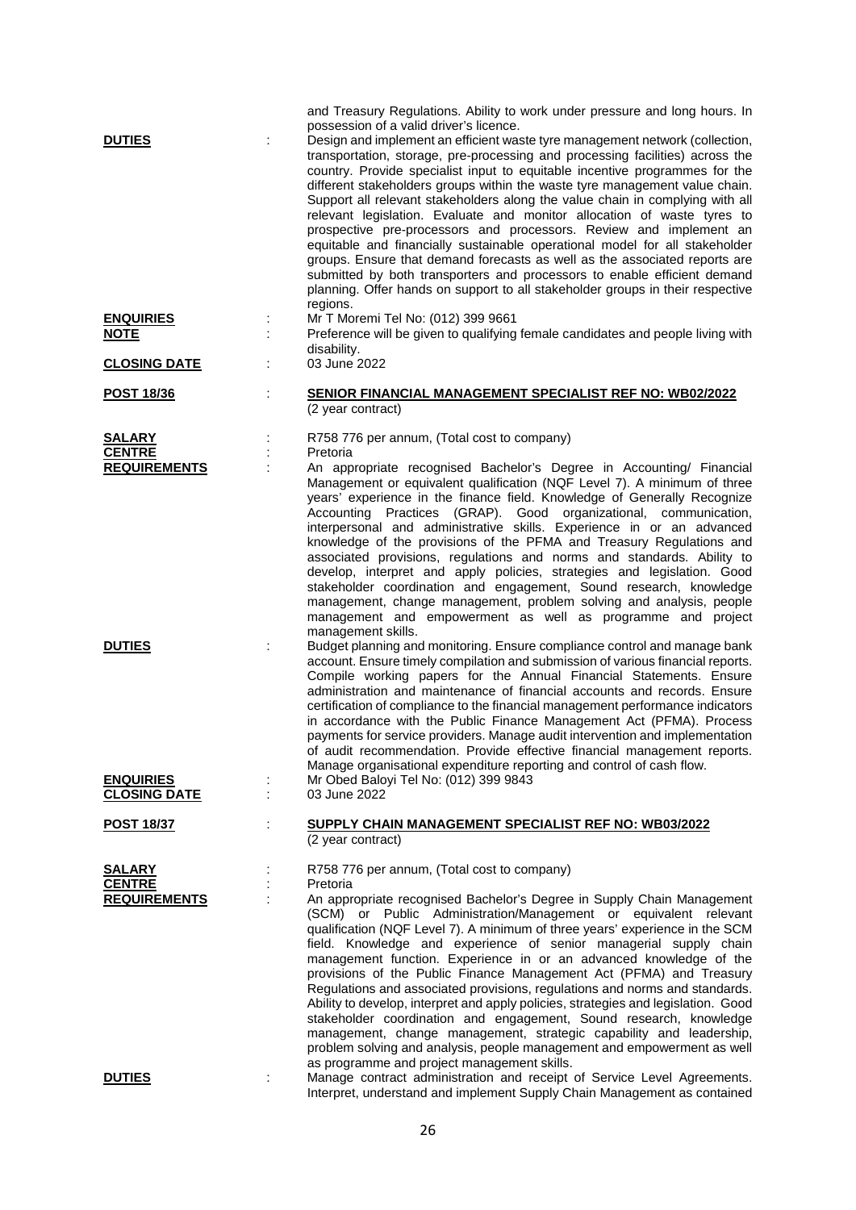| <b>DUTIES</b>                                         |    | and Treasury Regulations. Ability to work under pressure and long hours. In<br>possession of a valid driver's licence.<br>Design and implement an efficient waste tyre management network (collection,<br>transportation, storage, pre-processing and processing facilities) across the<br>country. Provide specialist input to equitable incentive programmes for the<br>different stakeholders groups within the waste tyre management value chain.<br>Support all relevant stakeholders along the value chain in complying with all<br>relevant legislation. Evaluate and monitor allocation of waste tyres to<br>prospective pre-processors and processors. Review and implement an<br>equitable and financially sustainable operational model for all stakeholder<br>groups. Ensure that demand forecasts as well as the associated reports are<br>submitted by both transporters and processors to enable efficient demand<br>planning. Offer hands on support to all stakeholder groups in their respective<br>regions. |
|-------------------------------------------------------|----|--------------------------------------------------------------------------------------------------------------------------------------------------------------------------------------------------------------------------------------------------------------------------------------------------------------------------------------------------------------------------------------------------------------------------------------------------------------------------------------------------------------------------------------------------------------------------------------------------------------------------------------------------------------------------------------------------------------------------------------------------------------------------------------------------------------------------------------------------------------------------------------------------------------------------------------------------------------------------------------------------------------------------------|
| <b>ENQUIRIES</b><br><b>NOTE</b>                       |    | Mr T Moremi Tel No: (012) 399 9661<br>Preference will be given to qualifying female candidates and people living with                                                                                                                                                                                                                                                                                                                                                                                                                                                                                                                                                                                                                                                                                                                                                                                                                                                                                                          |
| <b>CLOSING DATE</b>                                   |    | disability.<br>03 June 2022                                                                                                                                                                                                                                                                                                                                                                                                                                                                                                                                                                                                                                                                                                                                                                                                                                                                                                                                                                                                    |
| <b>POST 18/36</b>                                     | t, | <b>SENIOR FINANCIAL MANAGEMENT SPECIALIST REF NO: WB02/2022</b>                                                                                                                                                                                                                                                                                                                                                                                                                                                                                                                                                                                                                                                                                                                                                                                                                                                                                                                                                                |
|                                                       |    | (2 year contract)                                                                                                                                                                                                                                                                                                                                                                                                                                                                                                                                                                                                                                                                                                                                                                                                                                                                                                                                                                                                              |
| SALARY<br><b>CENTRE</b>                               |    | R758 776 per annum, (Total cost to company)<br>Pretoria                                                                                                                                                                                                                                                                                                                                                                                                                                                                                                                                                                                                                                                                                                                                                                                                                                                                                                                                                                        |
| <b>REQUIREMENTS</b>                                   |    | An appropriate recognised Bachelor's Degree in Accounting/ Financial<br>Management or equivalent qualification (NQF Level 7). A minimum of three<br>years' experience in the finance field. Knowledge of Generally Recognize<br>Accounting Practices (GRAP). Good organizational, communication,<br>interpersonal and administrative skills. Experience in or an advanced<br>knowledge of the provisions of the PFMA and Treasury Regulations and<br>associated provisions, regulations and norms and standards. Ability to<br>develop, interpret and apply policies, strategies and legislation. Good<br>stakeholder coordination and engagement, Sound research, knowledge<br>management, change management, problem solving and analysis, people<br>management and empowerment as well as programme and project<br>management skills.                                                                                                                                                                                       |
| <b>DUTIES</b>                                         | ÷  | Budget planning and monitoring. Ensure compliance control and manage bank<br>account. Ensure timely compilation and submission of various financial reports.<br>Compile working papers for the Annual Financial Statements. Ensure<br>administration and maintenance of financial accounts and records. Ensure<br>certification of compliance to the financial management performance indicators<br>in accordance with the Public Finance Management Act (PFMA). Process<br>payments for service providers. Manage audit intervention and implementation<br>of audit recommendation. Provide effective financial management reports.<br>Manage organisational expenditure reporting and control of cash flow.                                                                                                                                                                                                                                                                                                                  |
| <b>ENQUIRIES</b><br><b>CLOSING DATE</b>               | ÷  | Mr Obed Baloyi Tel No: (012) 399 9843<br>03 June 2022                                                                                                                                                                                                                                                                                                                                                                                                                                                                                                                                                                                                                                                                                                                                                                                                                                                                                                                                                                          |
| <b>POST 18/37</b>                                     | ÷  | SUPPLY CHAIN MANAGEMENT SPECIALIST REF NO: WB03/2022<br>(2 year contract)                                                                                                                                                                                                                                                                                                                                                                                                                                                                                                                                                                                                                                                                                                                                                                                                                                                                                                                                                      |
| <b>SALARY</b><br><b>CENTRE</b><br><b>REQUIREMENTS</b> | ÷  | R758 776 per annum, (Total cost to company)<br>Pretoria<br>An appropriate recognised Bachelor's Degree in Supply Chain Management<br>(SCM) or Public Administration/Management or equivalent relevant<br>qualification (NQF Level 7). A minimum of three years' experience in the SCM<br>field. Knowledge and experience of senior managerial supply chain<br>management function. Experience in or an advanced knowledge of the<br>provisions of the Public Finance Management Act (PFMA) and Treasury<br>Regulations and associated provisions, regulations and norms and standards.<br>Ability to develop, interpret and apply policies, strategies and legislation. Good<br>stakeholder coordination and engagement, Sound research, knowledge<br>management, change management, strategic capability and leadership,<br>problem solving and analysis, people management and empowerment as well                                                                                                                           |
| <b>DUTIES</b>                                         |    | as programme and project management skills.<br>Manage contract administration and receipt of Service Level Agreements.<br>Interpret, understand and implement Supply Chain Management as contained                                                                                                                                                                                                                                                                                                                                                                                                                                                                                                                                                                                                                                                                                                                                                                                                                             |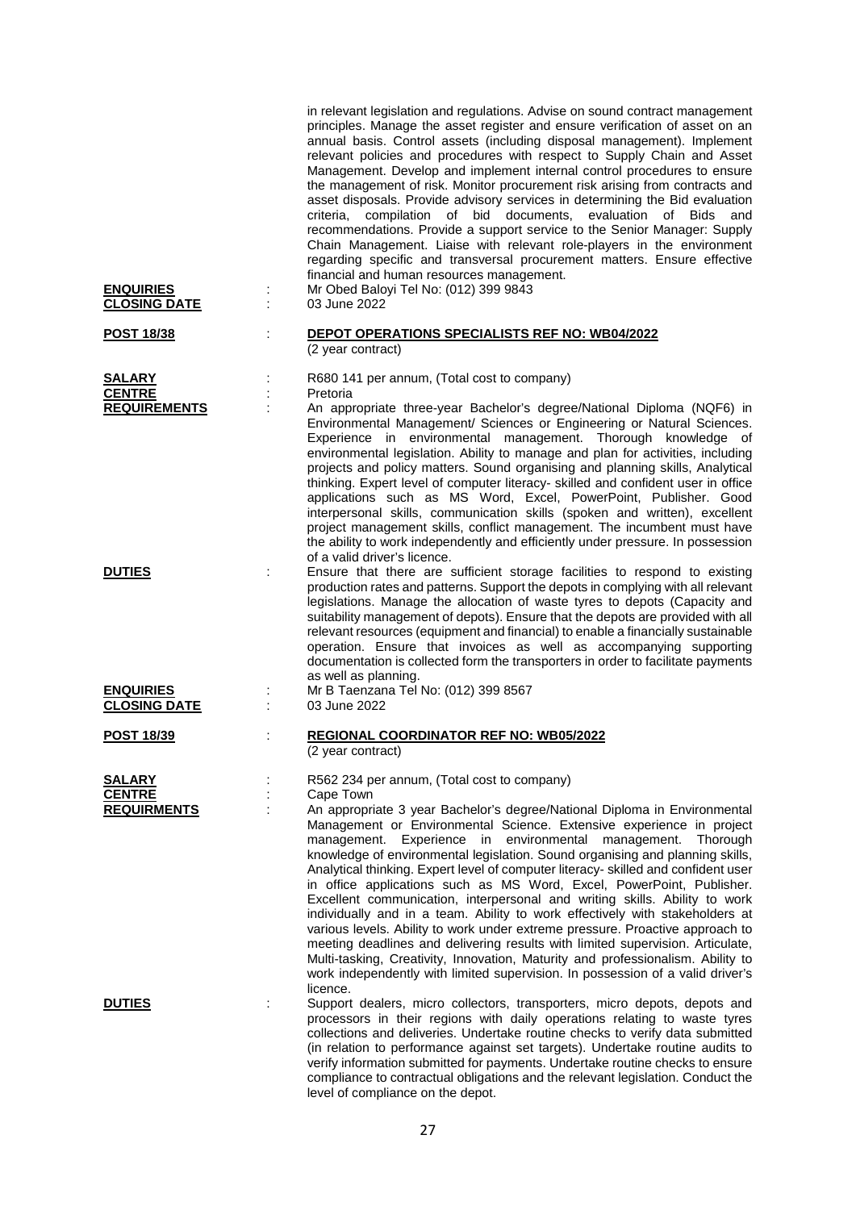| <b>ENQUIRIES</b><br><b>CLOSING DATE</b>        | in relevant legislation and regulations. Advise on sound contract management<br>principles. Manage the asset register and ensure verification of asset on an<br>annual basis. Control assets (including disposal management). Implement<br>relevant policies and procedures with respect to Supply Chain and Asset<br>Management. Develop and implement internal control procedures to ensure<br>the management of risk. Monitor procurement risk arising from contracts and<br>asset disposals. Provide advisory services in determining the Bid evaluation<br>criteria, compilation of bid documents, evaluation of Bids<br>and<br>recommendations. Provide a support service to the Senior Manager: Supply<br>Chain Management. Liaise with relevant role-players in the environment<br>regarding specific and transversal procurement matters. Ensure effective<br>financial and human resources management.<br>Mr Obed Baloyi Tel No: (012) 399 9843<br>÷<br>03 June 2022                                                                             |
|------------------------------------------------|------------------------------------------------------------------------------------------------------------------------------------------------------------------------------------------------------------------------------------------------------------------------------------------------------------------------------------------------------------------------------------------------------------------------------------------------------------------------------------------------------------------------------------------------------------------------------------------------------------------------------------------------------------------------------------------------------------------------------------------------------------------------------------------------------------------------------------------------------------------------------------------------------------------------------------------------------------------------------------------------------------------------------------------------------------|
| <b>POST 18/38</b>                              | DEPOT OPERATIONS SPECIALISTS REF NO: WB04/2022<br>÷<br>(2 year contract)                                                                                                                                                                                                                                                                                                                                                                                                                                                                                                                                                                                                                                                                                                                                                                                                                                                                                                                                                                                   |
| SALARY<br><b>CENTRE</b><br><b>REQUIREMENTS</b> | R680 141 per annum, (Total cost to company)<br>Pretoria<br>An appropriate three-year Bachelor's degree/National Diploma (NQF6) in<br>Environmental Management/ Sciences or Engineering or Natural Sciences.<br>Experience in environmental management. Thorough knowledge of<br>environmental legislation. Ability to manage and plan for activities, including<br>projects and policy matters. Sound organising and planning skills, Analytical<br>thinking. Expert level of computer literacy- skilled and confident user in office<br>applications such as MS Word, Excel, PowerPoint, Publisher. Good<br>interpersonal skills, communication skills (spoken and written), excellent<br>project management skills, conflict management. The incumbent must have<br>the ability to work independently and efficiently under pressure. In possession<br>of a valid driver's licence.                                                                                                                                                                      |
| <b>DUTIES</b>                                  | Ensure that there are sufficient storage facilities to respond to existing<br>production rates and patterns. Support the depots in complying with all relevant<br>legislations. Manage the allocation of waste tyres to depots (Capacity and<br>suitability management of depots). Ensure that the depots are provided with all<br>relevant resources (equipment and financial) to enable a financially sustainable<br>operation. Ensure that invoices as well as accompanying supporting<br>documentation is collected form the transporters in order to facilitate payments<br>as well as planning.                                                                                                                                                                                                                                                                                                                                                                                                                                                      |
| <b>ENQUIRIES</b><br><b>CLOSING DATE</b>        | Mr B Taenzana Tel No: (012) 399 8567<br>03 June 2022                                                                                                                                                                                                                                                                                                                                                                                                                                                                                                                                                                                                                                                                                                                                                                                                                                                                                                                                                                                                       |
| <b>POST 18/39</b>                              | <b>REGIONAL COORDINATOR REF NO: WB05/2022</b><br>(2 year contract)                                                                                                                                                                                                                                                                                                                                                                                                                                                                                                                                                                                                                                                                                                                                                                                                                                                                                                                                                                                         |
| SALARY<br><b>CENTRE</b><br><b>REQUIRMENTS</b>  | R562 234 per annum, (Total cost to company)<br>Cape Town<br>An appropriate 3 year Bachelor's degree/National Diploma in Environmental<br>Management or Environmental Science. Extensive experience in project<br>environmental<br>management.<br>Thorough<br>management.<br>Experience in<br>knowledge of environmental legislation. Sound organising and planning skills,<br>Analytical thinking. Expert level of computer literacy-skilled and confident user<br>in office applications such as MS Word, Excel, PowerPoint, Publisher.<br>Excellent communication, interpersonal and writing skills. Ability to work<br>individually and in a team. Ability to work effectively with stakeholders at<br>various levels. Ability to work under extreme pressure. Proactive approach to<br>meeting deadlines and delivering results with limited supervision. Articulate,<br>Multi-tasking, Creativity, Innovation, Maturity and professionalism. Ability to<br>work independently with limited supervision. In possession of a valid driver's<br>licence. |
| <b>DUTIES</b>                                  | Support dealers, micro collectors, transporters, micro depots, depots and<br>processors in their regions with daily operations relating to waste tyres<br>collections and deliveries. Undertake routine checks to verify data submitted<br>(in relation to performance against set targets). Undertake routine audits to<br>verify information submitted for payments. Undertake routine checks to ensure<br>compliance to contractual obligations and the relevant legislation. Conduct the<br>level of compliance on the depot.                                                                                                                                                                                                                                                                                                                                                                                                                                                                                                                          |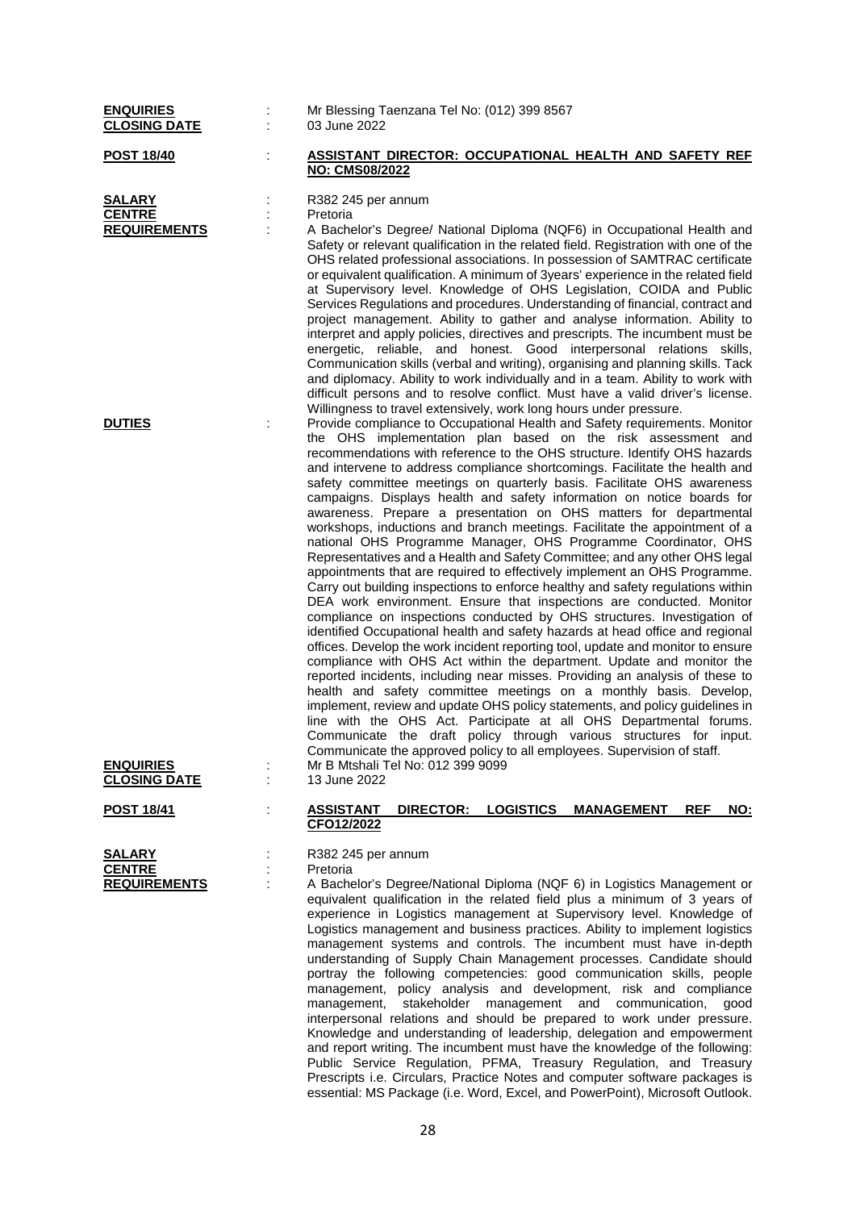| <b>ENQUIRIES</b><br><b>CLOSING DATE</b>               | Mr Blessing Taenzana Tel No: (012) 399 8567<br>03 June 2022                                                                                                                                                                                                                                                                                                                                                                                                                                                                                                                                                                                                                                                                                                                                                                                                                                                                                                                                                                                                                                                                                                                                                                                                                                                                                                                                                                                                                                                                                                                                                                                                                                                                                                                                                                                                                                                                                                                                                                                                                                                                                                  |
|-------------------------------------------------------|--------------------------------------------------------------------------------------------------------------------------------------------------------------------------------------------------------------------------------------------------------------------------------------------------------------------------------------------------------------------------------------------------------------------------------------------------------------------------------------------------------------------------------------------------------------------------------------------------------------------------------------------------------------------------------------------------------------------------------------------------------------------------------------------------------------------------------------------------------------------------------------------------------------------------------------------------------------------------------------------------------------------------------------------------------------------------------------------------------------------------------------------------------------------------------------------------------------------------------------------------------------------------------------------------------------------------------------------------------------------------------------------------------------------------------------------------------------------------------------------------------------------------------------------------------------------------------------------------------------------------------------------------------------------------------------------------------------------------------------------------------------------------------------------------------------------------------------------------------------------------------------------------------------------------------------------------------------------------------------------------------------------------------------------------------------------------------------------------------------------------------------------------------------|
| <u>POST 18/40</u>                                     | <b>ASSISTANT DIRECTOR: OCCUPATIONAL HEALTH AND SAFETY REF</b><br>NO: CMS08/2022                                                                                                                                                                                                                                                                                                                                                                                                                                                                                                                                                                                                                                                                                                                                                                                                                                                                                                                                                                                                                                                                                                                                                                                                                                                                                                                                                                                                                                                                                                                                                                                                                                                                                                                                                                                                                                                                                                                                                                                                                                                                              |
| <b>SALARY</b><br><b>CENTRE</b><br><b>REQUIREMENTS</b> | R382 245 per annum<br>Pretoria<br>A Bachelor's Degree/ National Diploma (NQF6) in Occupational Health and<br>Safety or relevant qualification in the related field. Registration with one of the<br>OHS related professional associations. In possession of SAMTRAC certificate<br>or equivalent qualification. A minimum of 3years' experience in the related field<br>at Supervisory level. Knowledge of OHS Legislation, COIDA and Public<br>Services Regulations and procedures. Understanding of financial, contract and<br>project management. Ability to gather and analyse information. Ability to<br>interpret and apply policies, directives and prescripts. The incumbent must be<br>energetic, reliable, and honest. Good interpersonal relations skills,                                                                                                                                                                                                                                                                                                                                                                                                                                                                                                                                                                                                                                                                                                                                                                                                                                                                                                                                                                                                                                                                                                                                                                                                                                                                                                                                                                                        |
| <b>DUTIES</b><br><b>ENQUIRIES</b>                     | Communication skills (verbal and writing), organising and planning skills. Tack<br>and diplomacy. Ability to work individually and in a team. Ability to work with<br>difficult persons and to resolve conflict. Must have a valid driver's license.<br>Willingness to travel extensively, work long hours under pressure.<br>Provide compliance to Occupational Health and Safety requirements. Monitor<br>the OHS implementation plan based on the risk assessment and<br>recommendations with reference to the OHS structure. Identify OHS hazards<br>and intervene to address compliance shortcomings. Facilitate the health and<br>safety committee meetings on quarterly basis. Facilitate OHS awareness<br>campaigns. Displays health and safety information on notice boards for<br>awareness. Prepare a presentation on OHS matters for departmental<br>workshops, inductions and branch meetings. Facilitate the appointment of a<br>national OHS Programme Manager, OHS Programme Coordinator, OHS<br>Representatives and a Health and Safety Committee; and any other OHS legal<br>appointments that are required to effectively implement an OHS Programme.<br>Carry out building inspections to enforce healthy and safety regulations within<br>DEA work environment. Ensure that inspections are conducted. Monitor<br>compliance on inspections conducted by OHS structures. Investigation of<br>identified Occupational health and safety hazards at head office and regional<br>offices. Develop the work incident reporting tool, update and monitor to ensure<br>compliance with OHS Act within the department. Update and monitor the<br>reported incidents, including near misses. Providing an analysis of these to<br>health and safety committee meetings on a monthly basis. Develop,<br>implement, review and update OHS policy statements, and policy guidelines in<br>line with the OHS Act. Participate at all OHS Departmental forums.<br>Communicate the draft policy through various structures for input.<br>Communicate the approved policy to all employees. Supervision of staff.<br>Mr B Mtshali Tel No: 012 399 9099 |
| <b>CLOSING DATE</b>                                   | 13 June 2022<br><b>LOGISTICS</b><br><b>REF</b><br>NO:<br><b>ASSISTANT</b>                                                                                                                                                                                                                                                                                                                                                                                                                                                                                                                                                                                                                                                                                                                                                                                                                                                                                                                                                                                                                                                                                                                                                                                                                                                                                                                                                                                                                                                                                                                                                                                                                                                                                                                                                                                                                                                                                                                                                                                                                                                                                    |
| <b>POST 18/41</b>                                     | <u>DIRECTOR:</u><br><b>MANAGEMENT</b><br>CFO12/2022                                                                                                                                                                                                                                                                                                                                                                                                                                                                                                                                                                                                                                                                                                                                                                                                                                                                                                                                                                                                                                                                                                                                                                                                                                                                                                                                                                                                                                                                                                                                                                                                                                                                                                                                                                                                                                                                                                                                                                                                                                                                                                          |
| SALARY<br><b>CENTRE</b><br><b>REQUIREMENTS</b>        | R382 245 per annum<br>Pretoria<br>A Bachelor's Degree/National Diploma (NQF 6) in Logistics Management or<br>equivalent qualification in the related field plus a minimum of 3 years of<br>experience in Logistics management at Supervisory level. Knowledge of<br>Logistics management and business practices. Ability to implement logistics<br>management systems and controls. The incumbent must have in-depth<br>understanding of Supply Chain Management processes. Candidate should<br>portray the following competencies: good communication skills, people<br>management, policy analysis and development, risk and compliance<br>stakeholder management and communication,<br>management,<br>good<br>interpersonal relations and should be prepared to work under pressure.<br>Knowledge and understanding of leadership, delegation and empowerment<br>and report writing. The incumbent must have the knowledge of the following:<br>Public Service Regulation, PFMA, Treasury Regulation, and Treasury                                                                                                                                                                                                                                                                                                                                                                                                                                                                                                                                                                                                                                                                                                                                                                                                                                                                                                                                                                                                                                                                                                                                        |

Prescripts i.e. Circulars, Practice Notes and computer software packages is essential: MS Package (i.e. Word, Excel, and PowerPoint), Microsoft Outlook.